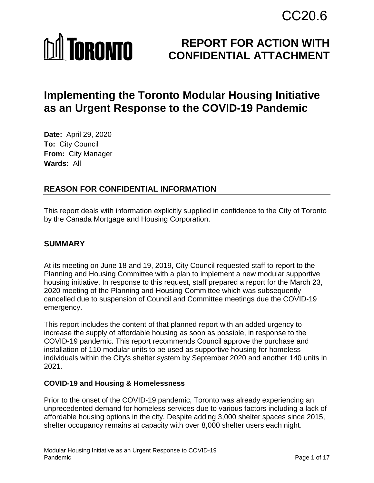# CC20.6

# **MI TORONTO**

# **REPORT FOR ACTION WITH CONFIDENTIAL ATTACHMENT**

# **Implementing the Toronto Modular Housing Initiative as an Urgent Response to the COVID-19 Pandemic**

**Date:** April 29, 2020 **To:** City Council **From:** City Manager **Wards:** All

# **REASON FOR CONFIDENTIAL INFORMATION**

This report deals with information explicitly supplied in confidence to the City of Toronto by the Canada Mortgage and Housing Corporation.

# **SUMMARY**

At its meeting on June 18 and 19, 2019, City Council requested staff to report to the Planning and Housing Committee with a plan to implement a new modular supportive housing initiative. In response to this request, staff prepared a report for the March 23, 2020 meeting of the Planning and Housing Committee which was subsequently cancelled due to suspension of Council and Committee meetings due the COVID-19 emergency.

This report includes the content of that planned report with an added urgency to increase the supply of affordable housing as soon as possible, in response to the COVID-19 pandemic. This report recommends Council approve the purchase and installation of 110 modular units to be used as supportive housing for homeless individuals within the City's shelter system by September 2020 and another 140 units in 2021.

#### **COVID-19 and Housing & Homelessness**

Prior to the onset of the COVID-19 pandemic, Toronto was already experiencing an unprecedented demand for homeless services due to various factors including a lack of affordable housing options in the city. Despite adding 3,000 shelter spaces since 2015, shelter occupancy remains at capacity with over 8,000 shelter users each night.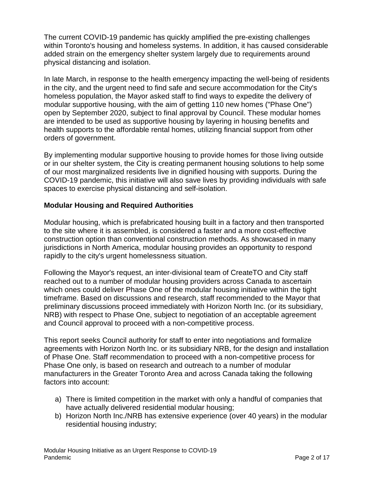The current COVID-19 pandemic has quickly amplified the pre-existing challenges within Toronto's housing and homeless systems. In addition, it has caused considerable added strain on the emergency shelter system largely due to requirements around physical distancing and isolation.

In late March, in response to the health emergency impacting the well-being of residents in the city, and the urgent need to find safe and secure accommodation for the City's homeless population, the Mayor asked staff to find ways to expedite the delivery of modular supportive housing, with the aim of getting 110 new homes ("Phase One") open by September 2020, subject to final approval by Council. These modular homes are intended to be used as supportive housing by layering in housing benefits and health supports to the affordable rental homes, utilizing financial support from other orders of government.

By implementing modular supportive housing to provide homes for those living outside or in our shelter system, the City is creating permanent housing solutions to help some of our most marginalized residents live in dignified housing with supports. During the COVID-19 pandemic, this initiative will also save lives by providing individuals with safe spaces to exercise physical distancing and self-isolation.

#### **Modular Housing and Required Authorities**

Modular housing, which is prefabricated housing built in a factory and then transported to the site where it is assembled, is considered a faster and a more cost-effective construction option than conventional construction methods. As showcased in many jurisdictions in North America, modular housing provides an opportunity to respond rapidly to the city's urgent homelessness situation.

Following the Mayor's request, an inter-divisional team of CreateTO and City staff reached out to a number of modular housing providers across Canada to ascertain which ones could deliver Phase One of the modular housing initiative within the tight timeframe. Based on discussions and research, staff recommended to the Mayor that preliminary discussions proceed immediately with Horizon North Inc. (or its subsidiary, NRB) with respect to Phase One, subject to negotiation of an acceptable agreement and Council approval to proceed with a non-competitive process.

This report seeks Council authority for staff to enter into negotiations and formalize agreements with Horizon North Inc. or its subsidiary NRB, for the design and installation of Phase One. Staff recommendation to proceed with a non-competitive process for Phase One only, is based on research and outreach to a number of modular manufacturers in the Greater Toronto Area and across Canada taking the following factors into account:

- a) There is limited competition in the market with only a handful of companies that have actually delivered residential modular housing;
- b) Horizon North Inc./NRB has extensive experience (over 40 years) in the modular residential housing industry;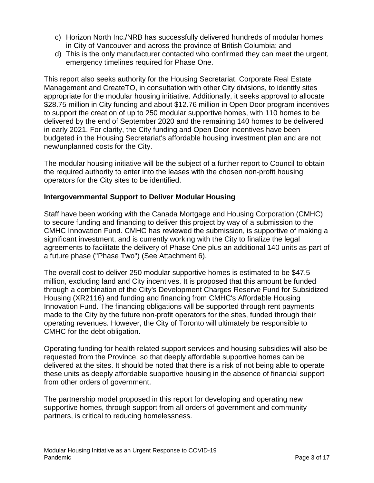- c) Horizon North Inc./NRB has successfully delivered hundreds of modular homes in City of Vancouver and across the province of British Columbia; and
- d) This is the only manufacturer contacted who confirmed they can meet the urgent, emergency timelines required for Phase One.

This report also seeks authority for the Housing Secretariat, Corporate Real Estate Management and CreateTO, in consultation with other City divisions, to identify sites appropriate for the modular housing initiative. Additionally, it seeks approval to allocate \$28.75 million in City funding and about \$12.76 million in Open Door program incentives to support the creation of up to 250 modular supportive homes, with 110 homes to be delivered by the end of September 2020 and the remaining 140 homes to be delivered in early 2021. For clarity, the City funding and Open Door incentives have been budgeted in the Housing Secretariat's affordable housing investment plan and are not new/unplanned costs for the City.

The modular housing initiative will be the subject of a further report to Council to obtain the required authority to enter into the leases with the chosen non-profit housing operators for the City sites to be identified.

#### **Intergovernmental Support to Deliver Modular Housing**

Staff have been working with the Canada Mortgage and Housing Corporation (CMHC) to secure funding and financing to deliver this project by way of a submission to the CMHC Innovation Fund. CMHC has reviewed the submission, is supportive of making a significant investment, and is currently working with the City to finalize the legal agreements to facilitate the delivery of Phase One plus an additional 140 units as part of a future phase ("Phase Two") (See Attachment 6).

The overall cost to deliver 250 modular supportive homes is estimated to be \$47.5 million, excluding land and City incentives. It is proposed that this amount be funded through a combination of the City's Development Charges Reserve Fund for Subsidized Housing (XR2116) and funding and financing from CMHC's Affordable Housing Innovation Fund. The financing obligations will be supported through rent payments made to the City by the future non-profit operators for the sites, funded through their operating revenues. However, the City of Toronto will ultimately be responsible to CMHC for the debt obligation.

Operating funding for health related support services and housing subsidies will also be requested from the Province, so that deeply affordable supportive homes can be delivered at the sites. It should be noted that there is a risk of not being able to operate these units as deeply affordable supportive housing in the absence of financial support from other orders of government.

The partnership model proposed in this report for developing and operating new supportive homes, through support from all orders of government and community partners, is critical to reducing homelessness.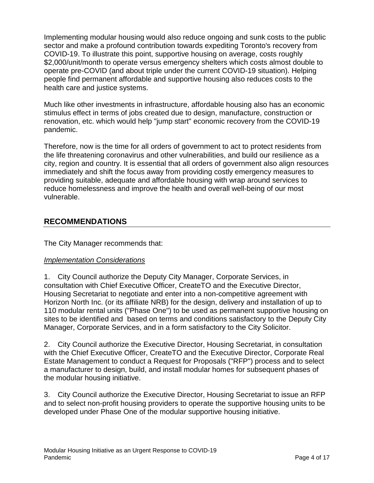Implementing modular housing would also reduce ongoing and sunk costs to the public sector and make a profound contribution towards expediting Toronto's recovery from COVID-19. To illustrate this point, supportive housing on average, costs roughly \$2,000/unit/month to operate versus emergency shelters which costs almost double to operate pre-COVID (and about triple under the current COVID-19 situation). Helping people find permanent affordable and supportive housing also reduces costs to the health care and justice systems.

Much like other investments in infrastructure, affordable housing also has an economic stimulus effect in terms of jobs created due to design, manufacture, construction or renovation, etc. which would help "jump start" economic recovery from the COVID-19 pandemic.

Therefore, now is the time for all orders of government to act to protect residents from the life threatening coronavirus and other vulnerabilities, and build our resilience as a city, region and country. It is essential that all orders of government also align resources immediately and shift the focus away from providing costly emergency measures to providing suitable, adequate and affordable housing with wrap around services to reduce homelessness and improve the health and overall well-being of our most vulnerable.

# **RECOMMENDATIONS**

The City Manager recommends that:

#### *Implementation Considerations*

1. City Council authorize the Deputy City Manager, Corporate Services, in consultation with Chief Executive Officer, CreateTO and the Executive Director, Housing Secretariat to negotiate and enter into a non-competitive agreement with Horizon North Inc. (or its affiliate NRB) for the design, delivery and installation of up to 110 modular rental units ("Phase One") to be used as permanent supportive housing on sites to be identified and based on terms and conditions satisfactory to the Deputy City Manager, Corporate Services, and in a form satisfactory to the City Solicitor.

2. City Council authorize the Executive Director, Housing Secretariat, in consultation with the Chief Executive Officer, CreateTO and the Executive Director, Corporate Real Estate Management to conduct a Request for Proposals ("RFP") process and to select a manufacturer to design, build, and install modular homes for subsequent phases of the modular housing initiative.

3. City Council authorize the Executive Director, Housing Secretariat to issue an RFP and to select non-profit housing providers to operate the supportive housing units to be developed under Phase One of the modular supportive housing initiative.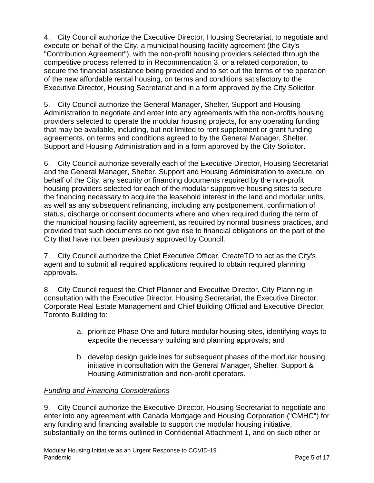4. City Council authorize the Executive Director, Housing Secretariat, to negotiate and execute on behalf of the City, a municipal housing facility agreement (the City's "Contribution Agreement"), with the non-profit housing providers selected through the competitive process referred to in Recommendation 3, or a related corporation, to secure the financial assistance being provided and to set out the terms of the operation of the new affordable rental housing, on terms and conditions satisfactory to the Executive Director, Housing Secretariat and in a form approved by the City Solicitor.

5. City Council authorize the General Manager, Shelter, Support and Housing Administration to negotiate and enter into any agreements with the non-profits housing providers selected to operate the modular housing projects, for any operating funding that may be available, including, but not limited to rent supplement or grant funding agreements, on terms and conditions agreed to by the General Manager, Shelter, Support and Housing Administration and in a form approved by the City Solicitor.

6. City Council authorize severally each of the Executive Director, Housing Secretariat and the General Manager, Shelter, Support and Housing Administration to execute, on behalf of the City, any security or financing documents required by the non-profit housing providers selected for each of the modular supportive housing sites to secure the financing necessary to acquire the leasehold interest in the land and modular units, as well as any subsequent refinancing, including any postponement, confirmation of status, discharge or consent documents where and when required during the term of the municipal housing facility agreement, as required by normal business practices, and provided that such documents do not give rise to financial obligations on the part of the City that have not been previously approved by Council.

7. City Council authorize the Chief Executive Officer, CreateTO to act as the City's agent and to submit all required applications required to obtain required planning approvals.

8. City Council request the Chief Planner and Executive Director, City Planning in consultation with the Executive Director, Housing Secretariat, the Executive Director, Corporate Real Estate Management and Chief Building Official and Executive Director, Toronto Building to:

- a. prioritize Phase One and future modular housing sites, identifying ways to expedite the necessary building and planning approvals; and
- b. develop design guidelines for subsequent phases of the modular housing initiative in consultation with the General Manager, Shelter, Support & Housing Administration and non-profit operators.

#### *Funding and Financing Considerations*

9. City Council authorize the Executive Director, Housing Secretariat to negotiate and enter into any agreement with Canada Mortgage and Housing Corporation ("CMHC") for any funding and financing available to support the modular housing initiative, substantially on the terms outlined in Confidential Attachment 1, and on such other or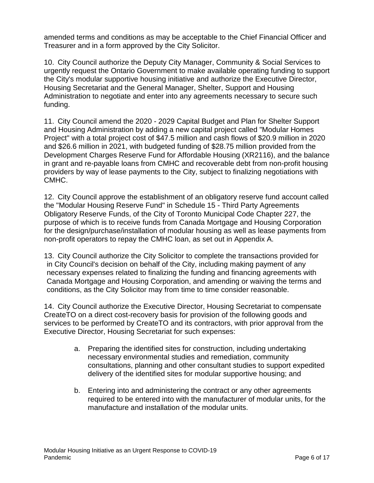amended terms and conditions as may be acceptable to the Chief Financial Officer and Treasurer and in a form approved by the City Solicitor.

10. City Council authorize the Deputy City Manager, Community & Social Services to urgently request the Ontario Government to make available operating funding to support the City's modular supportive housing initiative and authorize the Executive Director, Housing Secretariat and the General Manager, Shelter, Support and Housing Administration to negotiate and enter into any agreements necessary to secure such funding.

11. City Council amend the 2020 - 2029 Capital Budget and Plan for Shelter Support and Housing Administration by adding a new capital project called "Modular Homes Project" with a total project cost of \$47.5 million and cash flows of \$20.9 million in 2020 and \$26.6 million in 2021, with budgeted funding of \$28.75 million provided from the Development Charges Reserve Fund for Affordable Housing (XR2116), and the balance in grant and re-payable loans from CMHC and recoverable debt from non-profit housing providers by way of lease payments to the City, subject to finalizing negotiations with CMHC.

12. City Council approve the establishment of an obligatory reserve fund account called the "Modular Housing Reserve Fund" in Schedule 15 - Third Party Agreements Obligatory Reserve Funds, of the City of Toronto Municipal Code Chapter 227, the purpose of which is to receive funds from Canada Mortgage and Housing Corporation for the design/purchase/installation of modular housing as well as lease payments from non-profit operators to repay the CMHC loan, as set out in Appendix A.

13. City Council authorize the City Solicitor to complete the transactions provided for in City Council's decision on behalf of the City, including making payment of any necessary expenses related to finalizing the funding and financing agreements with Canada Mortgage and Housing Corporation, and amending or waiving the terms and conditions, as the City Solicitor may from time to time consider reasonable.

14. City Council authorize the Executive Director, Housing Secretariat to compensate CreateTO on a direct cost-recovery basis for provision of the following goods and services to be performed by CreateTO and its contractors, with prior approval from the Executive Director, Housing Secretariat for such expenses:

- a. Preparing the identified sites for construction, including undertaking necessary environmental studies and remediation, community consultations, planning and other consultant studies to support expedited delivery of the identified sites for modular supportive housing; and
- b. Entering into and administering the contract or any other agreements required to be entered into with the manufacturer of modular units, for the manufacture and installation of the modular units.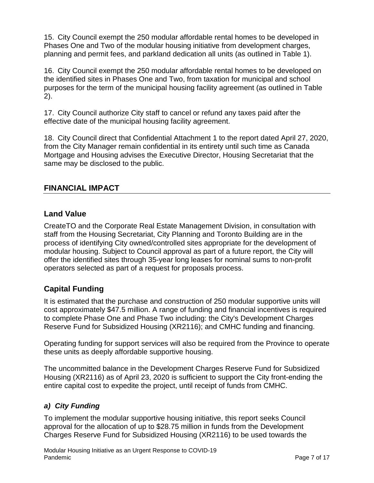15. City Council exempt the 250 modular affordable rental homes to be developed in Phases One and Two of the modular housing initiative from development charges, planning and permit fees, and parkland dedication all units (as outlined in Table 1).

16. City Council exempt the 250 modular affordable rental homes to be developed on the identified sites in Phases One and Two, from taxation for municipal and school purposes for the term of the municipal housing facility agreement (as outlined in Table 2).

17. City Council authorize City staff to cancel or refund any taxes paid after the effective date of the municipal housing facility agreement.

18. City Council direct that Confidential Attachment 1 to the report dated April 27, 2020, from the City Manager remain confidential in its entirety until such time as Canada Mortgage and Housing advises the Executive Director, Housing Secretariat that the same may be disclosed to the public.

#### **FINANCIAL IMPACT**

#### **Land Value**

CreateTO and the Corporate Real Estate Management Division, in consultation with staff from the Housing Secretariat, City Planning and Toronto Building are in the process of identifying City owned/controlled sites appropriate for the development of modular housing. Subject to Council approval as part of a future report, the City will offer the identified sites through 35-year long leases for nominal sums to non-profit operators selected as part of a request for proposals process.

# **Capital Funding**

It is estimated that the purchase and construction of 250 modular supportive units will cost approximately \$47.5 million. A range of funding and financial incentives is required to complete Phase One and Phase Two including: the City's Development Charges Reserve Fund for Subsidized Housing (XR2116); and CMHC funding and financing.

Operating funding for support services will also be required from the Province to operate these units as deeply affordable supportive housing.

The uncommitted balance in the Development Charges Reserve Fund for Subsidized Housing (XR2116) as of April 23, 2020 is sufficient to support the City front-ending the entire capital cost to expedite the project, until receipt of funds from CMHC.

#### *a) City Funding*

To implement the modular supportive housing initiative, this report seeks Council approval for the allocation of up to \$28.75 million in funds from the Development Charges Reserve Fund for Subsidized Housing (XR2116) to be used towards the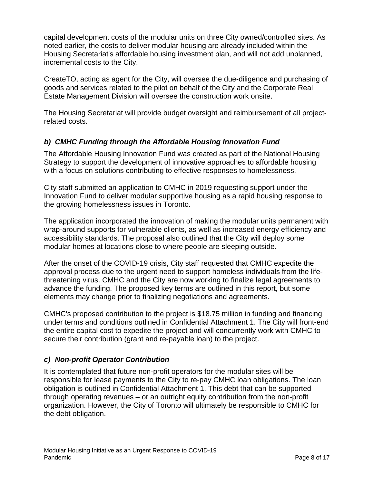capital development costs of the modular units on three City owned/controlled sites. As noted earlier, the costs to deliver modular housing are already included within the Housing Secretariat's affordable housing investment plan, and will not add unplanned, incremental costs to the City.

CreateTO, acting as agent for the City, will oversee the due-diligence and purchasing of goods and services related to the pilot on behalf of the City and the Corporate Real Estate Management Division will oversee the construction work onsite.

The Housing Secretariat will provide budget oversight and reimbursement of all projectrelated costs.

#### *b) CMHC Funding through the Affordable Housing Innovation Fund*

The Affordable Housing Innovation Fund was created as part of the National Housing Strategy to support the development of innovative approaches to affordable housing with a focus on solutions contributing to effective responses to homelessness.

City staff submitted an application to CMHC in 2019 requesting support under the Innovation Fund to deliver modular supportive housing as a rapid housing response to the growing homelessness issues in Toronto.

The application incorporated the innovation of making the modular units permanent with wrap-around supports for vulnerable clients, as well as increased energy efficiency and accessibility standards. The proposal also outlined that the City will deploy some modular homes at locations close to where people are sleeping outside.

After the onset of the COVID-19 crisis, City staff requested that CMHC expedite the approval process due to the urgent need to support homeless individuals from the lifethreatening virus. CMHC and the City are now working to finalize legal agreements to advance the funding. The proposed key terms are outlined in this report, but some elements may change prior to finalizing negotiations and agreements.

CMHC's proposed contribution to the project is \$18.75 million in funding and financing under terms and conditions outlined in Confidential Attachment 1. The City will front-end the entire capital cost to expedite the project and will concurrently work with CMHC to secure their contribution (grant and re-payable loan) to the project.

#### *c) Non-profit Operator Contribution*

It is contemplated that future non-profit operators for the modular sites will be responsible for lease payments to the City to re-pay CMHC loan obligations. The loan obligation is outlined in Confidential Attachment 1. This debt that can be supported through operating revenues – or an outright equity contribution from the non-profit organization. However, the City of Toronto will ultimately be responsible to CMHC for the debt obligation.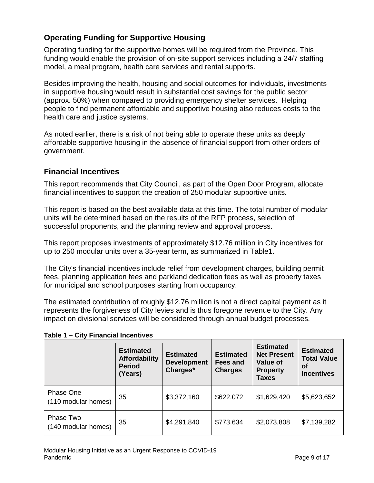# **Operating Funding for Supportive Housing**

Operating funding for the supportive homes will be required from the Province. This funding would enable the provision of on-site support services including a 24/7 staffing model, a meal program, health care services and rental supports.

Besides improving the health, housing and social outcomes for individuals, investments in supportive housing would result in substantial cost savings for the public sector (approx. 50%) when compared to providing emergency shelter services. Helping people to find permanent affordable and supportive housing also reduces costs to the health care and justice systems.

As noted earlier, there is a risk of not being able to operate these units as deeply affordable supportive housing in the absence of financial support from other orders of government.

#### **Financial Incentives**

This report recommends that City Council, as part of the Open Door Program, allocate financial incentives to support the creation of 250 modular supportive units.

This report is based on the best available data at this time. The total number of modular units will be determined based on the results of the RFP process, selection of successful proponents, and the planning review and approval process.

This report proposes investments of approximately \$12.76 million in City incentives for up to 250 modular units over a 35-year term, as summarized in Table1.

The City's financial incentives include relief from development charges, building permit fees, planning application fees and parkland dedication fees as well as property taxes for municipal and school purposes starting from occupancy.

The estimated contribution of roughly \$12.76 million is not a direct capital payment as it represents the forgiveness of City levies and is thus foregone revenue to the City. Any impact on divisional services will be considered through annual budget processes.

|                                  | <b>Estimated</b><br><b>Affordability</b><br><b>Period</b><br>(Years) | <b>Estimated</b><br><b>Development</b><br>Charges* | <b>Estimated</b><br>Fees and<br><b>Charges</b> | <b>Estimated</b><br><b>Net Present</b><br>Value of<br><b>Property</b><br><b>Taxes</b> | <b>Estimated</b><br><b>Total Value</b><br><b>of</b><br><b>Incentives</b> |
|----------------------------------|----------------------------------------------------------------------|----------------------------------------------------|------------------------------------------------|---------------------------------------------------------------------------------------|--------------------------------------------------------------------------|
| Phase One<br>(110 modular homes) | 35                                                                   | \$3,372,160                                        | \$622,072                                      | \$1,629,420                                                                           | \$5,623,652                                                              |
| Phase Two<br>(140 modular homes) | 35                                                                   | \$4,291,840                                        | \$773,634                                      | \$2,073,808                                                                           | \$7,139,282                                                              |

#### **Table 1 – City Financial Incentives**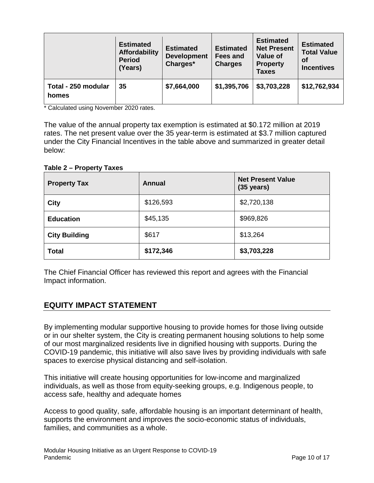|                              | <b>Estimated</b><br><b>Affordability</b><br><b>Period</b><br>(Years) | <b>Estimated</b><br><b>Development</b><br>Charges* | <b>Estimated</b><br><b>Fees and</b><br><b>Charges</b> | <b>Estimated</b><br><b>Net Present</b><br><b>Value of</b><br><b>Property</b><br><b>Taxes</b> | <b>Estimated</b><br><b>Total Value</b><br><b>of</b><br><b>Incentives</b> |
|------------------------------|----------------------------------------------------------------------|----------------------------------------------------|-------------------------------------------------------|----------------------------------------------------------------------------------------------|--------------------------------------------------------------------------|
| Total - 250 modular<br>homes | 35                                                                   | \$7,664,000                                        | \$1,395,706                                           | \$3,703,228                                                                                  | \$12,762,934                                                             |

\* Calculated using November 2020 rates.

The value of the annual property tax exemption is estimated at \$0.172 million at 2019 rates. The net present value over the 35 year-term is estimated at \$3.7 million captured under the City Financial Incentives in the table above and summarized in greater detail below:

**Table 2 – Property Taxes**

| <b>Property Tax</b>  | Annual    | <b>Net Present Value</b><br>$(35 \text{ years})$ |
|----------------------|-----------|--------------------------------------------------|
| <b>City</b>          | \$126,593 | \$2,720,138                                      |
| <b>Education</b>     | \$45,135  | \$969,826                                        |
| <b>City Building</b> | \$617     | \$13,264                                         |
| <b>Total</b>         | \$172,346 | \$3,703,228                                      |

The Chief Financial Officer has reviewed this report and agrees with the Financial Impact information.

#### **EQUITY IMPACT STATEMENT**

By implementing modular supportive housing to provide homes for those living outside or in our shelter system, the City is creating permanent housing solutions to help some of our most marginalized residents live in dignified housing with supports. During the COVID-19 pandemic, this initiative will also save lives by providing individuals with safe spaces to exercise physical distancing and self-isolation.

This initiative will create housing opportunities for low-income and marginalized individuals, as well as those from equity-seeking groups, e.g. Indigenous people, to access safe, healthy and adequate homes

Access to good quality, safe, affordable housing is an important determinant of health, supports the environment and improves the socio-economic status of individuals, families, and communities as a whole.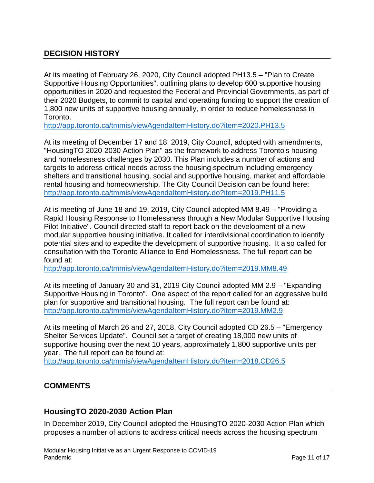# **DECISION HISTORY**

At its meeting of February 26, 2020, City Council adopted PH13.5 – "Plan to Create Supportive Housing Opportunities", outlining plans to develop 600 supportive housing opportunities in 2020 and requested the Federal and Provincial Governments, as part of their 2020 Budgets, to commit to capital and operating funding to support the creation of 1,800 new units of supportive housing annually, in order to reduce homelessness in Toronto.

<http://app.toronto.ca/tmmis/viewAgendaItemHistory.do?item=2020.PH13.5>

At its meeting of December 17 and 18, 2019, City Council, adopted with amendments, "HousingTO 2020-2030 Action Plan" as the framework to address Toronto's housing and homelessness challenges by 2030. This Plan includes a number of actions and targets to address critical needs across the housing spectrum including emergency shelters and transitional housing, social and supportive housing, market and affordable rental housing and homeownership. The City Council Decision can be found here: <http://app.toronto.ca/tmmis/viewAgendaItemHistory.do?item=2019.PH11.5>

At is meeting of June 18 and 19, 2019, City Council adopted MM 8.49 – "Providing a Rapid Housing Response to Homelessness through a New Modular Supportive Housing Pilot Initiative". Council directed staff to report back on the development of a new modular supportive housing initiative. It called for interdivisional coordination to identify potential sites and to expedite the development of supportive housing. It also called for consultation with the Toronto Alliance to End Homelessness. The full report can be found at:

<http://app.toronto.ca/tmmis/viewAgendaItemHistory.do?item=2019.MM8.49>

At its meeting of January 30 and 31, 2019 City Council adopted MM 2.9 – "Expanding Supportive Housing in Toronto". One aspect of the report called for an aggressive build plan for supportive and transitional housing. The full report can be found at: <http://app.toronto.ca/tmmis/viewAgendaItemHistory.do?item=2019.MM2.9>

At its meeting of March 26 and 27, 2018, City Council adopted CD 26.5 – "Emergency Shelter Services Update". Council set a target of creating 18,000 new units of supportive housing over the next 10 years, approximately 1,800 supportive units per year. The full report can be found at:

<http://app.toronto.ca/tmmis/viewAgendaItemHistory.do?item=2018.CD26.5>

#### **COMMENTS**

#### **HousingTO 2020-2030 Action Plan**

In December 2019, City Council adopted the HousingTO 2020-2030 Action Plan which proposes a number of actions to address critical needs across the housing spectrum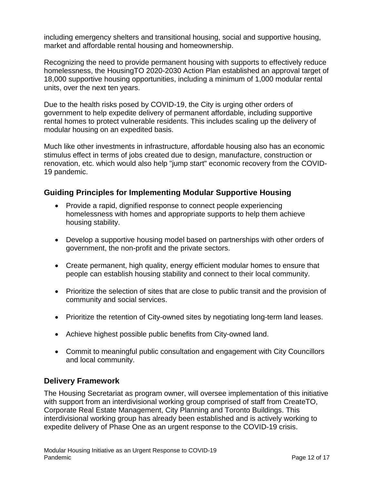including emergency shelters and transitional housing, social and supportive housing, market and affordable rental housing and homeownership.

Recognizing the need to provide permanent housing with supports to effectively reduce homelessness, the HousingTO 2020-2030 Action Plan established an approval target of 18,000 supportive housing opportunities, including a minimum of 1,000 modular rental units, over the next ten years.

Due to the health risks posed by COVID-19, the City is urging other orders of government to help expedite delivery of permanent affordable, including supportive rental homes to protect vulnerable residents. This includes scaling up the delivery of modular housing on an expedited basis.

Much like other investments in infrastructure, affordable housing also has an economic stimulus effect in terms of jobs created due to design, manufacture, construction or renovation, etc. which would also help "jump start" economic recovery from the COVID-19 pandemic.

#### **Guiding Principles for Implementing Modular Supportive Housing**

- Provide a rapid, dignified response to connect people experiencing homelessness with homes and appropriate supports to help them achieve housing stability.
- Develop a supportive housing model based on partnerships with other orders of government, the non-profit and the private sectors.
- Create permanent, high quality, energy efficient modular homes to ensure that people can establish housing stability and connect to their local community.
- Prioritize the selection of sites that are close to public transit and the provision of community and social services.
- Prioritize the retention of City-owned sites by negotiating long-term land leases.
- Achieve highest possible public benefits from City-owned land.
- Commit to meaningful public consultation and engagement with City Councillors and local community.

#### **Delivery Framework**

The Housing Secretariat as program owner, will oversee implementation of this initiative with support from an interdivisional working group comprised of staff from CreateTO, Corporate Real Estate Management, City Planning and Toronto Buildings. This interdivisional working group has already been established and is actively working to expedite delivery of Phase One as an urgent response to the COVID-19 crisis.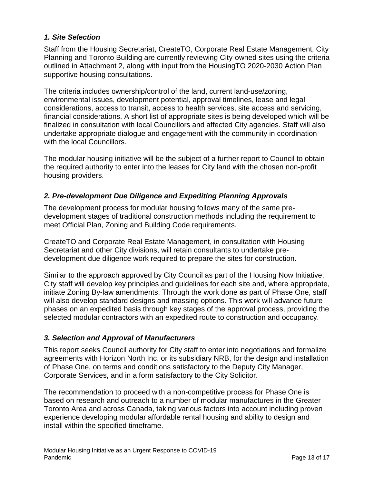#### *1. Site Selection*

Staff from the Housing Secretariat, CreateTO, Corporate Real Estate Management, City Planning and Toronto Building are currently reviewing City-owned sites using the criteria outlined in Attachment 2, along with input from the HousingTO 2020-2030 Action Plan supportive housing consultations.

The criteria includes ownership/control of the land, current land-use/zoning, environmental issues, development potential, approval timelines, lease and legal considerations, access to transit, access to health services, site access and servicing, financial considerations. A short list of appropriate sites is being developed which will be finalized in consultation with local Councillors and affected City agencies. Staff will also undertake appropriate dialogue and engagement with the community in coordination with the local Councillors.

The modular housing initiative will be the subject of a further report to Council to obtain the required authority to enter into the leases for City land with the chosen non-profit housing providers.

#### *2. Pre-development Due Diligence and Expediting Planning Approvals*

The development process for modular housing follows many of the same predevelopment stages of traditional construction methods including the requirement to meet Official Plan, Zoning and Building Code requirements.

CreateTO and Corporate Real Estate Management, in consultation with Housing Secretariat and other City divisions, will retain consultants to undertake predevelopment due diligence work required to prepare the sites for construction.

Similar to the approach approved by City Council as part of the Housing Now Initiative, City staff will develop key principles and guidelines for each site and, where appropriate, initiate Zoning By-law amendments. Through the work done as part of Phase One, staff will also develop standard designs and massing options. This work will advance future phases on an expedited basis through key stages of the approval process, providing the selected modular contractors with an expedited route to construction and occupancy.

#### *3. Selection and Approval of Manufacturers*

This report seeks Council authority for City staff to enter into negotiations and formalize agreements with Horizon North Inc. or its subsidiary NRB, for the design and installation of Phase One, on terms and conditions satisfactory to the Deputy City Manager, Corporate Services, and in a form satisfactory to the City Solicitor.

The recommendation to proceed with a non-competitive process for Phase One is based on research and outreach to a number of modular manufactures in the Greater Toronto Area and across Canada, taking various factors into account including proven experience developing modular affordable rental housing and ability to design and install within the specified timeframe.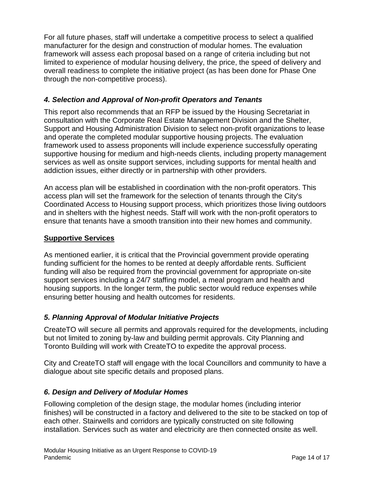For all future phases, staff will undertake a competitive process to select a qualified manufacturer for the design and construction of modular homes. The evaluation framework will assess each proposal based on a range of criteria including but not limited to experience of modular housing delivery, the price, the speed of delivery and overall readiness to complete the initiative project (as has been done for Phase One through the non-competitive process).

#### *4. Selection and Approval of Non-profit Operators and Tenants*

This report also recommends that an RFP be issued by the Housing Secretariat in consultation with the Corporate Real Estate Management Division and the Shelter, Support and Housing Administration Division to select non-profit organizations to lease and operate the completed modular supportive housing projects. The evaluation framework used to assess proponents will include experience successfully operating supportive housing for medium and high-needs clients, including property management services as well as onsite support services, including supports for mental health and addiction issues, either directly or in partnership with other providers.

An access plan will be established in coordination with the non-profit operators. This access plan will set the framework for the selection of tenants through the City's Coordinated Access to Housing support process, which prioritizes those living outdoors and in shelters with the highest needs. Staff will work with the non-profit operators to ensure that tenants have a smooth transition into their new homes and community.

#### **Supportive Services**

As mentioned earlier, it is critical that the Provincial government provide operating funding sufficient for the homes to be rented at deeply affordable rents. Sufficient funding will also be required from the provincial government for appropriate on-site support services including a 24/7 staffing model, a meal program and health and housing supports. In the longer term, the public sector would reduce expenses while ensuring better housing and health outcomes for residents.

#### *5. Planning Approval of Modular Initiative Projects*

CreateTO will secure all permits and approvals required for the developments, including but not limited to zoning by-law and building permit approvals. City Planning and Toronto Building will work with CreateTO to expedite the approval process.

City and CreateTO staff will engage with the local Councillors and community to have a dialogue about site specific details and proposed plans.

#### *6. Design and Delivery of Modular Homes*

Following completion of the design stage, the modular homes (including interior finishes) will be constructed in a factory and delivered to the site to be stacked on top of each other. Stairwells and corridors are typically constructed on site following installation. Services such as water and electricity are then connected onsite as well.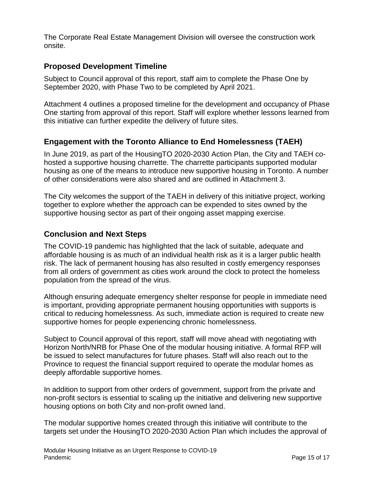The Corporate Real Estate Management Division will oversee the construction work onsite.

#### **Proposed Development Timeline**

Subject to Council approval of this report, staff aim to complete the Phase One by September 2020, with Phase Two to be completed by April 2021.

Attachment 4 outlines a proposed timeline for the development and occupancy of Phase One starting from approval of this report. Staff will explore whether lessons learned from this initiative can further expedite the delivery of future sites.

#### **Engagement with the Toronto Alliance to End Homelessness (TAEH)**

In June 2019, as part of the HousingTO 2020-2030 Action Plan, the City and TAEH cohosted a supportive housing charrette. The charrette participants supported modular housing as one of the means to introduce new supportive housing in Toronto. A number of other considerations were also shared and are outlined in Attachment 3.

The City welcomes the support of the TAEH in delivery of this initiative project, working together to explore whether the approach can be expended to sites owned by the supportive housing sector as part of their ongoing asset mapping exercise.

#### **Conclusion and Next Steps**

The COVID-19 pandemic has highlighted that the lack of suitable, adequate and affordable housing is as much of an individual health risk as it is a larger public health risk. The lack of permanent housing has also resulted in costly emergency responses from all orders of government as cities work around the clock to protect the homeless population from the spread of the virus.

Although ensuring adequate emergency shelter response for people in immediate need is important, providing appropriate permanent housing opportunities with supports is critical to reducing homelessness. As such, immediate action is required to create new supportive homes for people experiencing chronic homelessness.

Subject to Council approval of this report, staff will move ahead with negotiating with Horizon North/NRB for Phase One of the modular housing initiative. A formal RFP will be issued to select manufactures for future phases. Staff will also reach out to the Province to request the financial support required to operate the modular homes as deeply affordable supportive homes.

In addition to support from other orders of government, support from the private and non-profit sectors is essential to scaling up the initiative and delivering new supportive housing options on both City and non-profit owned land.

The modular supportive homes created through this initiative will contribute to the targets set under the HousingTO 2020-2030 Action Plan which includes the approval of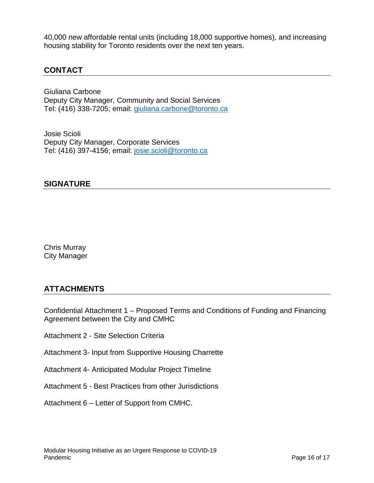40,000 new affordable rental units (including 18,000 supportive homes), and increasing housing stability for Toronto residents over the next ten years.

### **CONTACT**

Giuliana Carbone Deputy City Manager, Community and Social Services Tel: (416) 338-7205; email: [giuliana.carbone@toronto.ca](mailto:giuliana.carbone@toronto.ca)

Josie Scioli Deputy City Manager, Corporate Services Tel: (416) 397-4156; email: [josie.scioli@toronto.ca](mailto:josie.scioli@toronto.ca)

#### **SIGNATURE**

Chris Murray City Manager

# **ATTACHMENTS**

Confidential Attachment 1 – Proposed Terms and Conditions of Funding and Financing Agreement between the City and CMHC

- Attachment 2 Site Selection Criteria
- Attachment 3- Input from Supportive Housing Charrette
- Attachment 4- Anticipated Modular Project Timeline
- Attachment 5 Best Practices from other Jurisdictions
- Attachment 6 Letter of Support from CMHC.